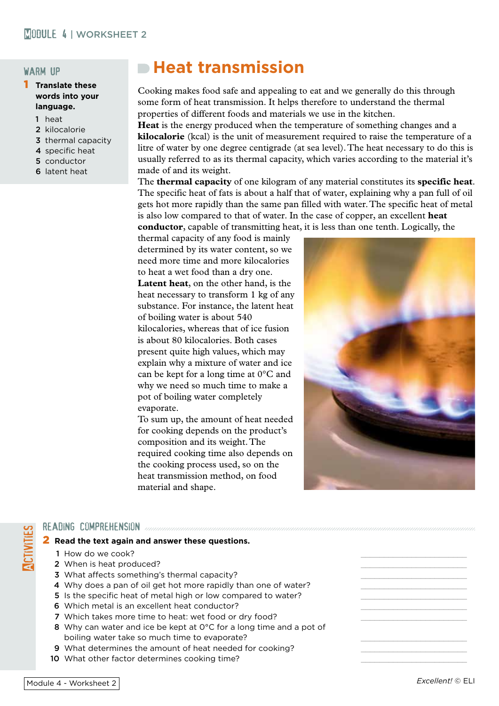#### warm up

- 1 **Translate these words into your language.**
	- 1 heat
	- 2 kilocalorie
	- 3 thermal capacity
	- 4 specific heat
	- 5 conductor
	- 6 latent heat

## **Heat transmission**

Cooking makes food safe and appealing to eat and we generally do this through some form of heat transmission. It helps therefore to understand the thermal properties of different foods and materials we use in the kitchen.

**Heat** is the energy produced when the temperature of something changes and a **kilocalorie** (kcal) is the unit of measurement required to raise the temperature of a litre of water by one degree centigrade (at sea level). The heat necessary to do this is usually referred to as its thermal capacity, which varies according to the material it's made of and its weight.

The **thermal capacity** of one kilogram of any material constitutes its **specific heat**. The specific heat of fats is about a half that of water, explaining why a pan full of oil gets hot more rapidly than the same pan filled with water. The specific heat of metal is also low compared to that of water. In the case of copper, an excellent **heat conductor**, capable of transmitting heat, it is less than one tenth. Logically, the

thermal capacity of any food is mainly determined by its water content, so we need more time and more kilocalories to heat a wet food than a dry one. **Latent heat**, on the other hand, is the heat necessary to transform 1 kg of any substance. For instance, the latent heat of boiling water is about 540 kilocalories, whereas that of ice fusion is about 80 kilocalories. Both cases present quite high values, which may explain why a mixture of water and ice can be kept for a long time at 0°C and why we need so much time to make a pot of boiling water completely evaporate.

To sum up, the amount of heat needed for cooking depends on the product's composition and its weight. The required cooking time also depends on the cooking process used, so on the heat transmission method, on food material and shape.



# READING COMPREHENSION<br>
2 Read the text again a<br>
1 How do we cook?<br>
2 When is heat produ 2 **Read the text again and answer these questions.**

- 1 How do we cook?
- 2 When is heat produced?
- 3 What affects something's thermal capacity?
- 4 Why does a pan of oil get hot more rapidly than one of water?
- 5 Is the specific heat of metal high or low compared to water?
- 6 Which metal is an excellent heat conductor?
- 7 Which takes more time to heat: wet food or dry food?
- 8 Why can water and ice be kept at 0°C for a long time and a pot of boiling water take so much time to evaporate?
- 9 What determines the amount of heat needed for cooking?
- 10 What other factor determines cooking time?